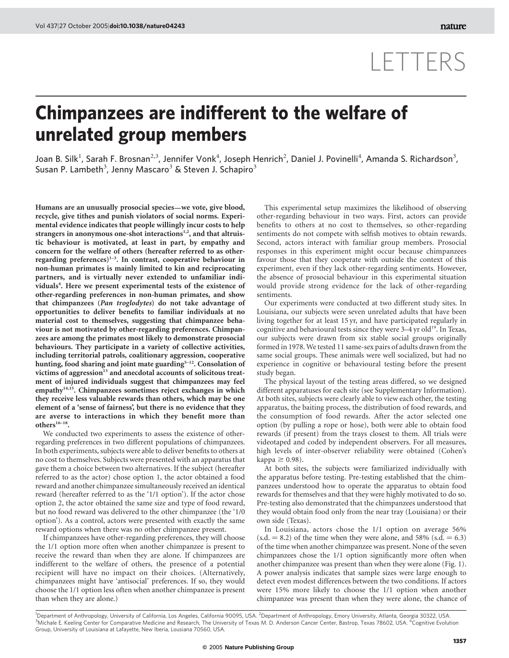## LETTERS

## Chimpanzees are indifferent to the welfare of unrelated group members

Joan B. Silk<sup>1</sup>, Sarah F. Brosnan<sup>2,3</sup>, Jennifer Vonk<sup>4</sup>, Joseph Henrich<sup>2</sup>, Daniel J. Povinelli<sup>4</sup>, Amanda S. Richardson<sup>3</sup>, Susan P. Lambeth<sup>3</sup>, Jenny Mascaro<sup>3</sup> & Steven J. Schapiro<sup>3</sup>

Humans are an unusually prosocial species—we vote, give blood, recycle, give tithes and punish violators of social norms. Experimental evidence indicates that people willingly incur costs to help strangers in anonymous one-shot interactions<sup>1,2</sup>, and that altruistic behaviour is motivated, at least in part, by empathy and concern for the welfare of others (hereafter referred to as otherregarding preferences)<sup>1-3</sup>. In contrast, cooperative behaviour in non-human primates is mainly limited to kin and reciprocating partners, and is virtually never extended to unfamiliar individuals<sup>4</sup>. Here we present experimental tests of the existence of other-regarding preferences in non-human primates, and show that chimpanzees (Pan troglodytes) do not take advantage of opportunities to deliver benefits to familiar individuals at no material cost to themselves, suggesting that chimpanzee behaviour is not motivated by other-regarding preferences. Chimpanzees are among the primates most likely to demonstrate prosocial behaviours. They participate in a variety of collective activities, including territorial patrols, coalitionary aggression, cooperative hunting, food sharing and joint mate guarding<sup>5-12</sup>. Consolation of victims of aggression<sup>13</sup> and anecdotal accounts of solicitous treatment of injured individuals suggest that chimpanzees may feel empathy<sup>14,15</sup>. Chimpanzees sometimes reject exchanges in which they receive less valuable rewards than others, which may be one element of a 'sense of fairness', but there is no evidence that they are averse to interactions in which they benefit more than others $16-18$ .

We conducted two experiments to assess the existence of otherregarding preferences in two different populations of chimpanzees. In both experiments, subjects were able to deliver benefits to others at no cost to themselves. Subjects were presented with an apparatus that gave them a choice between two alternatives. If the subject (hereafter referred to as the actor) chose option 1, the actor obtained a food reward and another chimpanzee simultaneously received an identical reward (hereafter referred to as the '1/1 option'). If the actor chose option 2, the actor obtained the same size and type of food reward, but no food reward was delivered to the other chimpanzee (the '1/0 option'). As a control, actors were presented with exactly the same reward options when there was no other chimpanzee present.

If chimpanzees have other-regarding preferences, they will choose the 1/1 option more often when another chimpanzee is present to receive the reward than when they are alone. If chimpanzees are indifferent to the welfare of others, the presence of a potential recipient will have no impact on their choices. (Alternatively, chimpanzees might have 'antisocial' preferences. If so, they would choose the 1/1 option less often when another chimpanzee is present than when they are alone.)

This experimental setup maximizes the likelihood of observing other-regarding behaviour in two ways. First, actors can provide benefits to others at no cost to themselves, so other-regarding sentiments do not compete with selfish motives to obtain rewards. Second, actors interact with familiar group members. Prosocial responses in this experiment might occur because chimpanzees favour those that they cooperate with outside the context of this experiment, even if they lack other-regarding sentiments. However, the absence of prosocial behaviour in this experimental situation would provide strong evidence for the lack of other-regarding sentiments.

Our experiments were conducted at two different study sites. In Louisiana, our subjects were seven unrelated adults that have been living together for at least 15 yr, and have participated regularly in cognitive and behavioural tests since they were 3-4 yr old<sup>19</sup>. In Texas, our subjects were drawn from six stable social groups originally formed in 1978. We tested 11 same-sex pairs of adults drawn from the same social groups. These animals were well socialized, but had no experience in cognitive or behavioural testing before the present study began.

The physical layout of the testing areas differed, so we designed different apparatuses for each site (see Supplementary Information). At both sites, subjects were clearly able to view each other, the testing apparatus, the baiting process, the distribution of food rewards, and the consumption of food rewards. After the actor selected one option (by pulling a rope or hose), both were able to obtain food rewards (if present) from the trays closest to them. All trials were videotaped and coded by independent observers. For all measures, high levels of inter-observer reliability were obtained (Cohen's kappa  $\ge$  0.98).

At both sites, the subjects were familiarized individually with the apparatus before testing. Pre-testing established that the chimpanzees understood how to operate the apparatus to obtain food rewards for themselves and that they were highly motivated to do so. Pre-testing also demonstrated that the chimpanzees understood that they would obtain food only from the near tray (Louisiana) or their own side (Texas).

In Louisiana, actors chose the 1/1 option on average 56%  $(s.d. = 8.2)$  of the time when they were alone, and 58%  $(s.d. = 6.3)$ of the time when another chimpanzee was present. None of the seven chimpanzees chose the 1/1 option significantly more often when another chimpanzee was present than when they were alone (Fig. 1). A power analysis indicates that sample sizes were large enough to detect even modest differences between the two conditions. If actors were 15% more likely to choose the 1/1 option when another chimpanzee was present than when they were alone, the chance of

<sup>1</sup>Department of Anthropology, University of California, Los Angeles, California 90095, USA. <sup>2</sup>Department of Anthropology, Emory University, Atlanta, Georgia 30322, USA.<br><sup>3</sup>Michalo E. Kooling Contor for Comparative Medici Michale E. Keeling Center for Comparative Medicine and Research, The University of Texas M. D. Anderson Cancer Center, Bastrop, Texas 78602, USA. <sup>4</sup> Cognitive Evolution Group, University of Louisiana at Lafayette, New Iberia, Lousiana 70560, USA.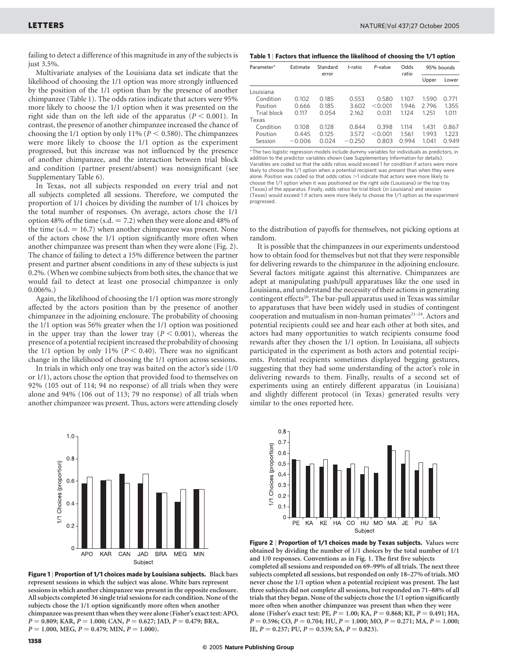failing to detect a difference of this magnitude in any of the subjects is just 3.5%.

Multivariate analyses of the Louisiana data set indicate that the likelihood of choosing the 1/1 option was more strongly influenced by the position of the 1/1 option than by the presence of another chimpanzee (Table 1). The odds ratios indicate that actors were 95% more likely to choose the 1/1 option when it was presented on the right side than on the left side of the apparatus ( $P < 0.001$ ). In contrast, the presence of another chimpanzee increased the chance of choosing the 1/1 option by only 11% ( $P < 0.580$ ). The chimpanzees were more likely to choose the 1/1 option as the experiment progressed, but this increase was not influenced by the presence of another chimpanzee, and the interaction between trial block and condition (partner present/absent) was nonsignificant (see Supplementary Table 6).

In Texas, not all subjects responded on every trial and not all subjects completed all sessions. Therefore, we computed the proportion of 1/1 choices by dividing the number of 1/1 choices by the total number of responses. On average, actors chose the 1/1 option 48% of the time (s.d.  $= 7.2$ ) when they were alone and 48% of the time (s.d.  $= 16.7$ ) when another chimpanzee was present. None of the actors chose the 1/1 option significantly more often when another chimpanzee was present than when they were alone (Fig. 2). The chance of failing to detect a 15% difference between the partner present and partner absent conditions in any of these subjects is just 0.2%. (When we combine subjects from both sites, the chance that we would fail to detect at least one prosocial chimpanzee is only  $0.006\%$ )

Again, the likelihood of choosing the 1/1 option was more strongly affected by the actors position than by the presence of another chimpanzee in the adjoining enclosure. The probability of choosing the 1/1 option was 56% greater when the 1/1 option was positioned in the upper tray than the lower tray  $(P < 0.001)$ , whereas the presence of a potential recipient increased the probability of choosing the 1/1 option by only 11% ( $P < 0.40$ ). There was no significant change in the likelihood of choosing the 1/1 option across sessions.

In trials in which only one tray was baited on the actor's side (1/0 or 1/1), actors chose the option that provided food to themselves on 92% (105 out of 114; 94 no response) of all trials when they were alone and 94% (106 out of 113; 79 no response) of all trials when another chimpanzee was present. Thus, actors were attending closely



Figure 1 | Proportion of 1/1 choices made by Louisiana subjects. Black bars represent sessions in which the subject was alone. White bars represent sessions in which another chimpanzee was present in the opposite enclosure. All subjects completed 36 single trial sessions for each condition. None of the subjects chose the 1/1 option significantly more often when another chimpanzee was present than when they were alone (Fisher's exact test: APO,  $P = 0.809$ ; KAR,  $P = 1.000$ ; CAN,  $P = 0.627$ ; JAD,  $P = 0.479$ ; BRA,  $P = 1.000$ , MEG,  $P = 0.479$ ; MIN,  $P = 1.000$ ).

Table 1 | Factors that influence the likelihood of choosing the 1/1 option

| Parameter*  | Estimate | Standard<br>error | $t$ -ratio | P-value | Odds<br>ratio | 95% bounds |       |
|-------------|----------|-------------------|------------|---------|---------------|------------|-------|
|             |          |                   |            |         |               | Upper      | Lower |
| Louisiana   |          |                   |            |         |               |            |       |
| Condition   | 0.102    | 0.185             | 0.553      | 0.580   | 1.107         | 1.590      | 0.771 |
| Position    | 0.666    | 0.185             | 3.602      | < 0.001 | 1.946         | 2.796      | 1.355 |
| Trial block | 0117     | 0.054             | 2.162      | 0.031   | 1.124         | 1 2 5 1    | 1.011 |
| Texas       |          |                   |            |         |               |            |       |
| Condition   | 0.108    | 0.128             | 0.844      | 0.398   | 1.114         | 1.431      | 0.867 |
| Position    | 0.445    | 0.125             | 3.572      | < 0.001 | 1.561         | 1.993      | 1.223 |
| Session     | $-0.006$ | 0.024             | $-0.250$   | 0.803   | 0.994         | 1.041      | 0.949 |

\*The two logistic regression models include dummy variables for individuals as predictors, in addition to the predictor variables shown (see Supplementary Information for details). Variables are coded so that the odds ratios would exceed 1 for condition if actors were more likely to choose the 1/1 option when a potential recipient was present than when they were alone. Position was coded so that odds ratios  $>1$  indicate that actors were more likely to choose the 1/1 option when it was positioned on the right side (Louisiana) or the top tray (Texas) of the apparatus. Finally, odds ratios for trial block (in Louisiana) and session (Texas) would exceed 1 if actors were more likely to choose the 1/1 option as the experiment progressed.

to the distribution of payoffs for themselves, not picking options at random.

It is possible that the chimpanzees in our experiments understood how to obtain food for themselves but not that they were responsible for delivering rewards to the chimpanzee in the adjoining enclosure. Several factors mitigate against this alternative. Chimpanzees are adept at manipulating push/pull apparatuses like the one used in Louisiana, and understand the necessity of their actions in generating contingent effects<sup>20</sup>. The bar-pull apparatus used in Texas was similar to apparatuses that have been widely used in studies of contingent cooperation and mutualism in non-human primates $2^{1-24}$ . Actors and potential recipients could see and hear each other at both sites, and actors had many opportunities to watch recipients consume food rewards after they chosen the 1/1 option. In Louisiana, all subjects participated in the experiment as both actors and potential recipients. Potential recipients sometimes displayed begging gestures, suggesting that they had some understanding of the actor's role in delivering rewards to them. Finally, results of a second set of experiments using an entirely different apparatus (in Louisiana) and slightly different protocol (in Texas) generated results very similar to the ones reported here.



Figure 2 | Proportion of 1/1 choices made by Texas subjects. Values were obtained by dividing the number of 1/1 choices by the total number of 1/1 and 1/0 responses. Conventions as in Fig. 1. The first five subjects completed all sessions and responded on 69–99% of all trials. The next three subjects completed all sessions, but responded on only 18–27% of trials. MO never chose the 1/1 option when a potential recipient was present. The last three subjects did not complete all sessions, but responded on 71–88% of all trials that they began. None of the subjects chose the 1/1 option significantly more often when another chimpanzee was present than when they were alone (Fisher's exact test: PE,  $P = 1.00$ ; KA,  $P = 0.868$ ; KE,  $P = 0.491$ ; HA,  $P = 0.596$ ; CO,  $P = 0.704$ ; HU,  $P = 1.000$ ; MO,  $P = 0.271$ ; MA,  $P = 1.000$ ; JE,  $P = 0.237$ ; PU,  $P = 0.539$ ; SA,  $P = 0.823$ ).